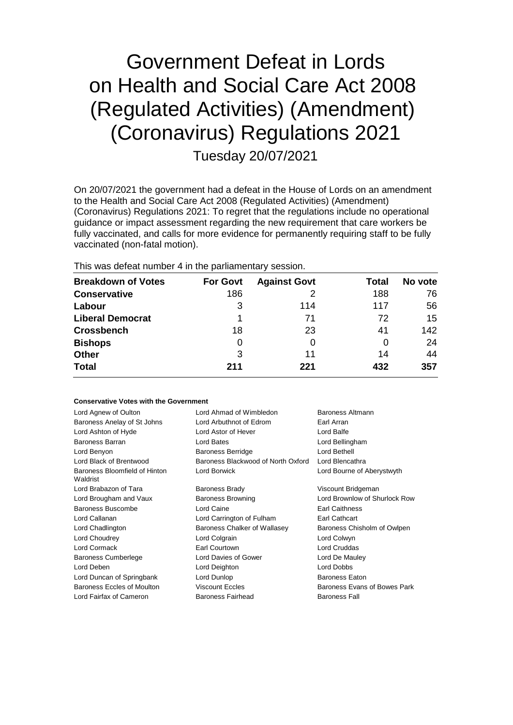# Government Defeat in Lords on Health and Social Care Act 2008 (Regulated Activities) (Amendment) (Coronavirus) Regulations 2021 Tuesday 20/07/2021

On 20/07/2021 the government had a defeat in the House of Lords on an amendment to the Health and Social Care Act 2008 (Regulated Activities) (Amendment) (Coronavirus) Regulations 2021: To regret that the regulations include no operational guidance or impact assessment regarding the new requirement that care workers be fully vaccinated, and calls for more evidence for permanently requiring staff to be fully vaccinated (non-fatal motion).

This was defeat number 4 in the parliamentary session.

| <b>Breakdown of Votes</b> | <b>For Govt</b> | <b>Against Govt</b> | Total | No vote |
|---------------------------|-----------------|---------------------|-------|---------|
| <b>Conservative</b>       | 186             |                     | 188   | 76      |
| Labour                    | 3               | 114                 | 117   | 56      |
| <b>Liberal Democrat</b>   |                 | 71                  | 72    | 15      |
| <b>Crossbench</b>         | 18              | 23                  | 41    | 142     |
| <b>Bishops</b>            | 0               | O                   | 0     | 24      |
| <b>Other</b>              | 3               | 11                  | 14    | 44      |
| <b>Total</b>              | 211             | 221                 | 432   | 357     |

### **Conservative Votes with the Government**

| Lord Agnew of Oulton                      | Lord Ahmad of Wimbledon<br>Baroness Altmann                 |                               |  |
|-------------------------------------------|-------------------------------------------------------------|-------------------------------|--|
| Baroness Anelay of St Johns               | Lord Arbuthnot of Edrom                                     | Earl Arran                    |  |
| Lord Ashton of Hyde                       | Lord Astor of Hever                                         | Lord Balfe                    |  |
| Baroness Barran                           | Lord Bates<br>Lord Bellingham                               |                               |  |
| Lord Benyon                               | Lord Bethell<br><b>Baroness Berridge</b>                    |                               |  |
| Lord Black of Brentwood                   | Baroness Blackwood of North Oxford<br>Lord Blencathra       |                               |  |
| Baroness Bloomfield of Hinton<br>Waldrist | Lord Borwick<br>Lord Bourne of Aberystwyth                  |                               |  |
| Lord Brabazon of Tara                     | <b>Baroness Brady</b>                                       | Viscount Bridgeman            |  |
| Lord Brougham and Vaux                    | <b>Baroness Browning</b>                                    | Lord Brownlow of Shurlock Row |  |
| <b>Baroness Buscombe</b>                  | Lord Caine                                                  | Earl Caithness                |  |
| Lord Callanan                             | Lord Carrington of Fulham                                   | <b>Earl Cathcart</b>          |  |
| Lord Chadlington                          | Baroness Chalker of Wallasey<br>Baroness Chisholm of Owlpen |                               |  |
| Lord Choudrey                             | Lord Colgrain<br>Lord Colwyn                                |                               |  |
| Lord Cormack                              | Earl Courtown                                               | Lord Cruddas                  |  |
| <b>Baroness Cumberlege</b>                | Lord Davies of Gower                                        | Lord De Mauley                |  |
| Lord Deben                                | Lord Deighton                                               | Lord Dobbs                    |  |
| Lord Duncan of Springbank                 | Lord Dunlop                                                 | <b>Baroness Eaton</b>         |  |
| <b>Baroness Eccles of Moulton</b>         | <b>Viscount Eccles</b><br>Baroness Evans of Bowes Park      |                               |  |
| Lord Fairfax of Cameron                   | <b>Baroness Fairhead</b>                                    | <b>Baroness Fall</b>          |  |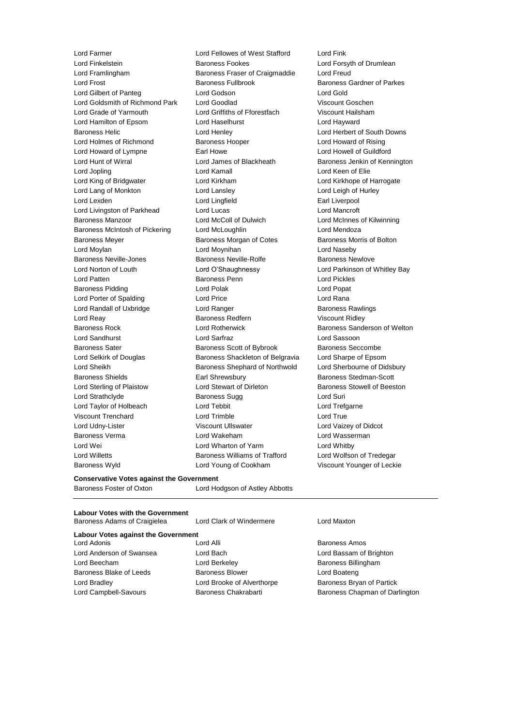Lord Finkelstein Baroness Fookes Lord Forsyth of Drumlean Lord Framlingham Baroness Fraser of Craigmaddie Lord Freud Lord Frost Baroness Fullbrook Baroness Gardner of Parkes Lord Gilbert of Panteg Lord Godson Lord Gold Lord Goldsmith of Richmond Park Lord Goodlad Viscount Goschen Lord Grade of Yarmouth Lord Griffiths of Fforestfach Viscount Hailsham Lord Hamilton of Epsom Lord Haselhurst Lord Hayward Baroness Helic Lord Henley Lord Herbert of South Downs Lord Holmes of Richmond Baroness Hooper Lord Howard of Rising Lord Howard of Lympne **Earl Howe Earl Howell Communist Communist** Lord Howell of Guildford Lord Hunt of Wirral **Lord James of Blackheath** Baroness Jenkin of Kennington Lord Jopling Lord Kamall Lord Keen of Elie Lord King of Bridgwater Lord Kirkham Lord Kirkhope of Harrogate Lord Lang of Monkton Lord Lansley Lord Leigh of Hurley Lord Lexden Lord Lingfield Earl Liverpool Lord Livingston of Parkhead Lord Lucas Lord Mancroft Baroness Manzoor Lord McColl of Dulwich Lord McInnes of Kilwinning Baroness McIntosh of Pickering Lord McLoughlin Lord Mendoza Baroness Meyer **Baroness Morgan of Cotes** Baroness Morris of Bolton Lord Moylan Lord Moynihan Lord Naseby Baroness Neville-Jones **Baroness Neville-Rolfe** Baroness Newlove Lord Norton of Louth Lord O'Shaughnessy Lord Parkinson of Whitley Bay Lord Patten Baroness Penn Lord Pickles Baroness Pidding Lord Polak Lord Popat Lord Porter of Spalding Lord Price Lord Rana Lord Randall of Uxbridge **Lord Ranger** Lord Ranger **Baroness Rawlings** Lord Reay Baroness Redfern Viscount Ridley Baroness Rock Lord Rotherwick Baroness Sanderson of Welton Lord Sandhurst Lord Sarfraz Lord Sassoon Baroness Sater **Baroness Scott of Bybrook** Baroness Seccombe Lord Selkirk of Douglas **Baroness Shackleton of Belgravia** Lord Sharpe of Epsom Lord Sheikh **Baroness Shephard of Northwold** Lord Sherbourne of Didsbury Baroness Shields Earl Shrewsbury Baroness Stedman-Scott Lord Sterling of Plaistow Lord Stewart of Dirleton Baroness Stowell of Beeston Lord Strathclyde Baroness Sugg Lord Suri Lord Taylor of Holbeach Lord Tebbit Lord Trefgarne Viscount Trenchard Lord Trimble Lord True Lord Udny-Lister Viscount Ullswater Lord Vaizey of Didcot Baroness Verma Lord Wakeham Lord Wasserman Lord Wei Lord Wharton of Yarm Lord Whitby Lord Willetts **Baroness Williams of Trafford** Lord Wolfson of Tredegar Baroness Wyld Lord Young of Cookham Viscount Younger of Leckie

Lord Farmer Lord Fellowes of West Stafford Lord Fink

#### **Conservative Votes against the Government**

Baroness Foster of Oxton **Lord Hodgson of Astley Abbotts** 

# **Labour Votes against the Government**

**Labour Votes with the Government**

Lord Anderson of Swansea Lord Bach Lord Bassam of Brighton Lord Beecham **Lord Berkeley Baroness Billingham** Baroness Blake of Leeds Baroness Blower Baroness Blower Lord Boateng Lord Bradley **Lord Brooke of Alverthorpe** Baroness Bryan of Partick

### Baroness Adams of Craigielea Lord Clark of Windermere Lord Maxton

Lord Adonis Lord Alli Baroness Amos

Lord Campbell-Savours **Baroness Chakrabarti** Baroness Chapman of Darlington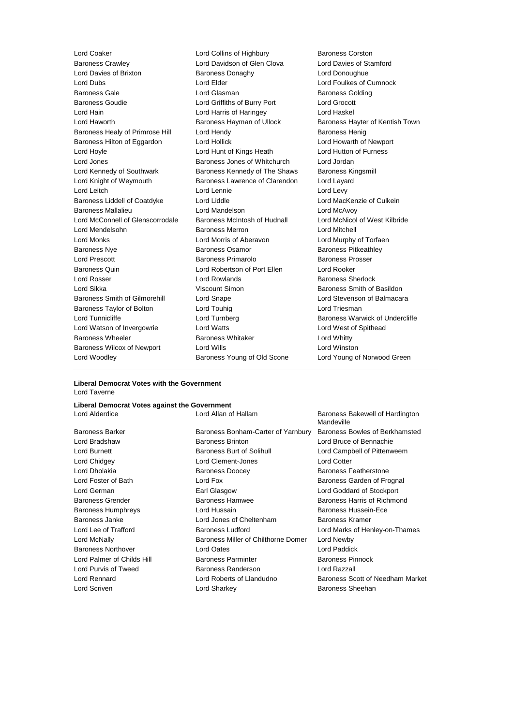Baroness Crawley Lord Davidson of Glen Clova Lord Davies of Stamford Lord Davies of Brixton Baroness Donaghy Lord Donoughue Lord Dubs Lord Elder Lord Foulkes of Cumnock Baroness Gale **Baroness Golding** Lord Glasman **Baroness Golding** Baroness Goudie Lord Griffiths of Burry Port Lord Grocott Lord Hain Lord Harris of Haringey Lord Haskel Lord Haworth **Baroness Hayman of Ullock** Baroness Hayter of Kentish Town Baroness Healy of Primrose Hill Lord Hendy Contract Report Baroness Henig Baroness Hilton of Eggardon Lord Hollick Lord Howarth of Newport Lord Hoyle Lord Hunt of Kings Heath Lord Hutton of Furness Lord Jones Baroness Jones of Whitchurch Lord Jordan Lord Kennedy of Southwark **Baroness Kennedy of The Shaws** Baroness Kingsmill Lord Knight of Weymouth Baroness Lawrence of Clarendon Lord Layard Lord Leitch Lord Lennie Lord Levy Baroness Liddell of Coatdyke Lord Liddle Lord Liddle Lord MacKenzie of Culkein Baroness Mallalieu Lord Mandelson Lord McAvoy Lord McConnell of Glenscorrodale Baroness McIntosh of Hudnall Lord McNicol of West Kilbride Lord Mendelsohn Baroness Merron Lord Mitchell Lord Monks Lord Morris of Aberavon Lord Murphy of Torfaen Baroness Nye **Baroness Osamor** Baroness Osamor Baroness Pitkeathley Lord Prescott **Baroness Primarolo** Baroness Prosser Baroness Quin Lord Robertson of Port Ellen Lord Rooker Lord Rosser **Lord Rowlands Baroness Sherlock Communist Communist Communist Communist Communist Communist Communist Communist Communist Communist Communist Communist Communist Communist Communist Communist Communist Com** Lord Sikka **Viscount Simon Baroness Smith of Basildon** Baroness Smith of Gilmorehill Lord Snape Lord Stevenson of Balmacara Baroness Taylor of Bolton Lord Touhig Lord Triesman Lord Tunnicliffe **Lord Turnberg** Baroness Warwick of Undercliffe Lord Watson of Invergowrie Lord Watts Lord West of Spithead Baroness Wheeler **Baroness Whitaker** Lord Whitty Baroness Wilcox of Newport Lord Wills Lord Winston Lord Woodley Baroness Young of Old Scone Lord Young of Norwood Green

Lord Coaker Lord Collins of Highbury Baroness Corston

#### **Liberal Democrat Votes with the Government** Lord Taverne

#### **Liberal Democrat Votes against the Government**

Baroness Barker **Baroness Bonham-Carter of Yarnbury** Baroness Bowles of Berkhamsted Lord Bradshaw Baroness Brinton Lord Bruce of Bennachie Lord Burnett Baroness Burt of Solihull Lord Campbell of Pittenweem Lord Chidgey Lord Clement-Jones Lord Cotter Lord Dholakia Baroness Doocey Baroness Featherstone Lord Foster of Bath **Lord Fox** Lord Fox **Baroness Garden of Frognal** Lord German Earl Glasgow Lord Goddard of Stockport Baroness Grender **Baroness Hamwee** Baroness Hamwee **Baroness Harris of Richmond** Baroness Humphreys Lord Hussain Baroness Hussein-Ece Baroness Janke Lord Jones of Cheltenham Baroness Kramer Lord Lee of Trafford **Baroness Ludford** Lord Marks of Henley-on-Thames Lord McNally **Baroness Miller of Chilthorne Domer** Lord Newby Baroness Northover Lord Oates Lord Paddick Lord Palmer of Childs Hill Baroness Parminter Baroness Pinnock Lord Purvis of Tweed Baroness Randerson Lord Razzall Lord Rennard Lord Roberts of Llandudno Baroness Scott of Needham Market Lord Scriven **Lord Sharkey Community** Lord Sharkey **Baroness Sheehan** 

Lord Alderdice **Lord Allan of Hallam Baroness Bakewell of Hardington** Mandeville